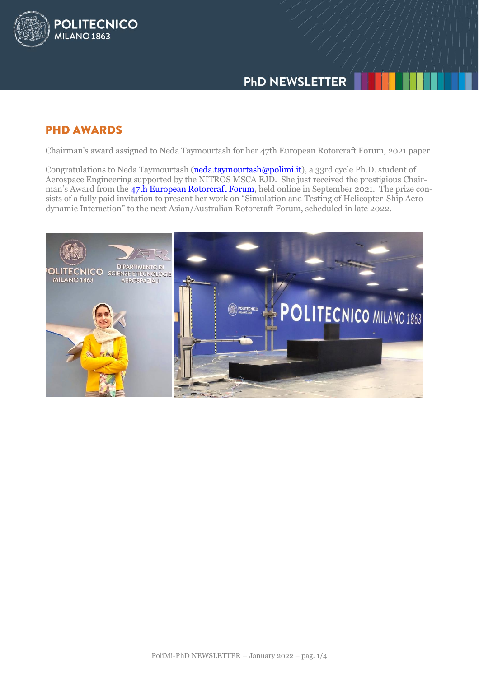

# **PHD AWARDS**

**POLITECNICO** 

**MILANO 1863** 

Chairman's award assigned to Neda Taymourtash for her 47th European Rotorcraft Forum, 2021 paper

Congratulations to Neda Taymourtash [\(neda.taymourtash@polimi.it\)](mailto:neda.taymourtash@polimi.it), a 33rd cycle Ph.D. student of Aerospace Engineering supported by the NITROS MSCA EJD. She just received the prestigious Chairman's Award from the **47th European Rotorcraft Forum**, held online in September 2021. The prize consists of a fully paid invitation to present her work on "Simulation and Testing of Helicopter-Ship Aerodynamic Interaction" to the next Asian/Australian Rotorcraft Forum, scheduled in late 2022.

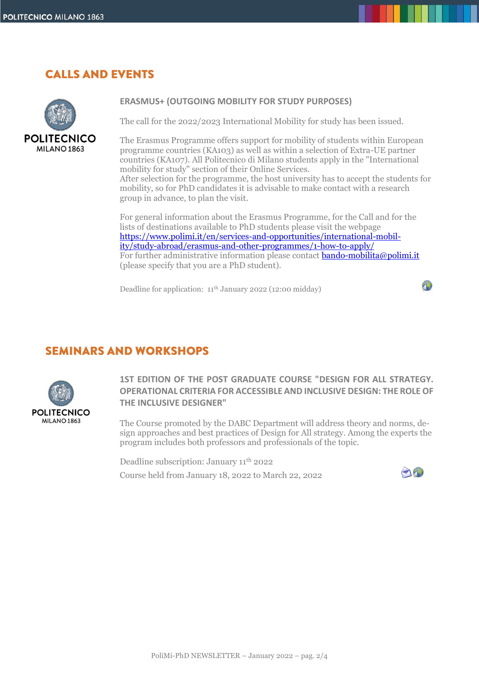# **CALLS AND EVENTS**



## **ERASMUS+ (OUTGOING MOBILITY FOR STUDY PURPOSES)**

The call for the 2022/2023 International Mobility for study has been issued.

The Erasmus Programme offers support for mobility of students within European programme countries (KA103) as well as within a selection of Extra-UE partner countries (KA107). All Politecnico di Milano students apply in the "International mobility for study" section of their Online Services. After selection for the programme, the host university has to accept the students for mobility, so for PhD candidates it is advisable to make contact with a research group in advance, to plan the visit.

For general information about the Erasmus Programme, for the Call and for the lists of destinations available to PhD students please visit the webpage [https://www.polimi.it/en/services-and-opportunities/international-mobil](https://www.polimi.it/en/services-and-opportunities/international-mobility/study-abroad/erasmus-and-other-programmes/1-how-to-apply/)[ity/study-abroad/erasmus-and-other-programmes/1-how-to-apply/](https://www.polimi.it/en/services-and-opportunities/international-mobility/study-abroad/erasmus-and-other-programmes/1-how-to-apply/) For further administrative information please contact **bando-mobilita@polimi.it** (please specify that you are a PhD student).

Deadline for application: 11th January 2022 (12:00 midday)

## **SEMINARS AND WORKSHOPS**



**1ST EDITION OF THE POST GRADUATE COURSE "DESIGN FOR ALL STRATEGY. OPERATIONAL CRITERIA FOR ACCESSIBLE AND INCLUSIVE DESIGN: THE ROLE OF THE INCLUSIVE DESIGNER"**

The Course promoted by the DABC Department will address theory and norms, design approaches and best practices of Design for All strategy. Among the experts the program includes both professors and professionals of the topic.

Deadline subscription: January 11<sup>th</sup> 2022

Course held from January 18, 2022 to March 22, 2022



 $\mathcal{F}_{\mathbf{L}}$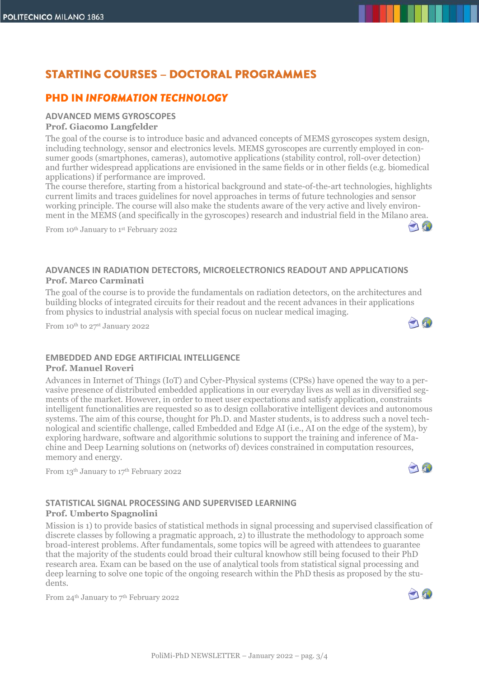# **STARTING COURSES - DOCTORAL PROGRAMMES**

## **PHD IN INFORMATION TECHNOLOGY**

### **ADVANCED MEMS GYROSCOPES Prof. Giacomo Langfelder**

The goal of the course is to introduce basic and advanced concepts of MEMS gyroscopes system design, including technology, sensor and electronics levels. MEMS gyroscopes are currently employed in consumer goods (smartphones, cameras), automotive applications (stability control, roll-over detection) and further widespread applications are envisioned in the same fields or in other fields (e.g. biomedical applications) if performance are improved.

The course therefore, starting from a historical background and state-of-the-art technologies, highlights current limits and traces guidelines for novel approaches in terms of future technologies and sensor working principle. The course will also make the students aware of the very active and lively environment in the MEMS (and specifically in the gyroscopes) research and industrial field in the Milano area.

From 10th January to 1st February 2022

## **ADVANCES IN RADIATION DETECTORS, MICROELECTRONICS READOUT AND APPLICATIONS Prof. Marco Carminati**

The goal of the course is to provide the fundamentals on radiation detectors, on the architectures and building blocks of integrated circuits for their readout and the recent advances in their applications from physics to industrial analysis with special focus on nuclear medical imaging.

From 10th to 27 st January 2022

# **EMBEDDED AND EDGE ARTIFICIAL INTELLIGENCE**

#### **Prof. Manuel Roveri**

Advances in Internet of Things (IoT) and Cyber-Physical systems (CPSs) have opened the way to a pervasive presence of distributed embedded applications in our everyday lives as well as in diversified segments of the market. However, in order to meet user expectations and satisfy application, constraints intelligent functionalities are requested so as to design collaborative intelligent devices and autonomous systems. The aim of this course, thought for Ph.D. and Master students, is to address such a novel technological and scientific challenge, called Embedded and Edge AI (i.e., AI on the edge of the system), by exploring hardware, software and algorithmic solutions to support the training and inference of Machine and Deep Learning solutions on (networks of) devices constrained in computation resources, memory and energy.

From 13th January to 17th February 2022

### **STATISTICAL SIGNAL PROCESSING AND SUPERVISED LEARNING Prof. Umberto Spagnolini**

Mission is 1) to provide basics of statistical methods in signal processing and supervised classification of discrete classes by following a pragmatic approach, 2) to illustrate the methodology to approach some broad-interest problems. After fundamentals, some topics will be agreed with attendees to guarantee that the majority of the students could broad their cultural knowhow still being focused to their PhD research area. Exam can be based on the use of analytical tools from statistical signal processing and deep learning to solve one topic of the ongoing research within the PhD thesis as proposed by the students.

From 24<sup>th</sup> January to 7<sup>th</sup> February 2022



AN

 $\bigcap_{i=1}^n$ 

10